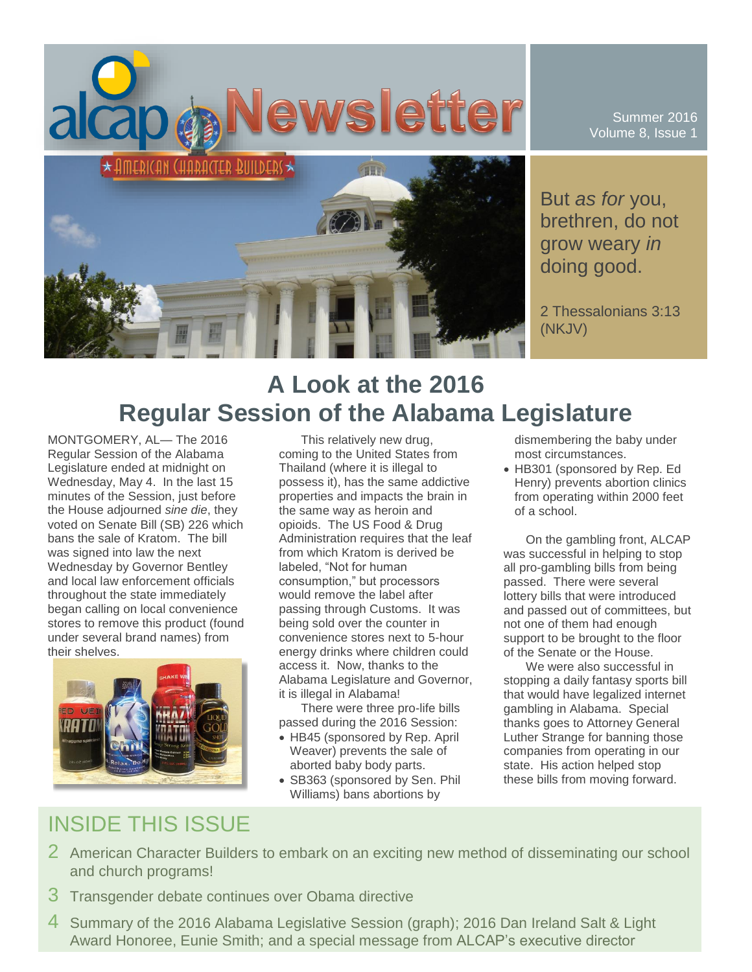

Summer 2016 Volume 8, Issue 1

But *as for* you, brethren, do not grow weary *in* doing good.

2 Thessalonians 3:13 (NKJV)

# **A Look at the 2016 Regular Session of the Alabama Legislature**

MONTGOMERY, AL— The 2016 Regular Session of the Alabama Legislature ended at midnight on Wednesday, May 4. In the last 15 minutes of the Session, just before the House adjourned *sine die*, they voted on Senate Bill (SB) 226 which bans the sale of Kratom. The bill was signed into law the next Wednesday by Governor Bentley and local law enforcement officials throughout the state immediately began calling on local convenience stores to remove this product (found under several brand names) from their shelves.



This relatively new drug, coming to the United States from Thailand (where it is illegal to possess it), has the same addictive properties and impacts the brain in the same way as heroin and opioids. The US Food & Drug Administration requires that the leaf from which Kratom is derived be labeled, "Not for human consumption," but processors would remove the label after passing through Customs. It was being sold over the counter in convenience stores next to 5-hour energy drinks where children could access it. Now, thanks to the Alabama Legislature and Governor, it is illegal in Alabama!

There were three pro-life bills passed during the 2016 Session:

- HB45 (sponsored by Rep. April Weaver) prevents the sale of aborted baby body parts.
- SB363 (sponsored by Sen. Phil Williams) bans abortions by

dismembering the baby under most circumstances.

 HB301 (sponsored by Rep. Ed Henry) prevents abortion clinics from operating within 2000 feet of a school.

On the gambling front, ALCAP was successful in helping to stop all pro-gambling bills from being passed. There were several lottery bills that were introduced and passed out of committees, but not one of them had enough support to be brought to the floor of the Senate or the House.

We were also successful in stopping a daily fantasy sports bill that would have legalized internet gambling in Alabama. Special thanks goes to Attorney General Luther Strange for banning those companies from operating in our state. His action helped stop these bills from moving forward.

# INSIDE THIS ISSUE

- 2 American Character Builders to embark on an exciting new method of disseminating our school and church programs!
- 3 Transgender debate continues over Obama directive
- 4 Summary of the 2016 Alabama Legislative Session (graph); 2016 Dan Ireland Salt & Light Award Honoree, Eunie Smith; and a special message from ALCAP's executive director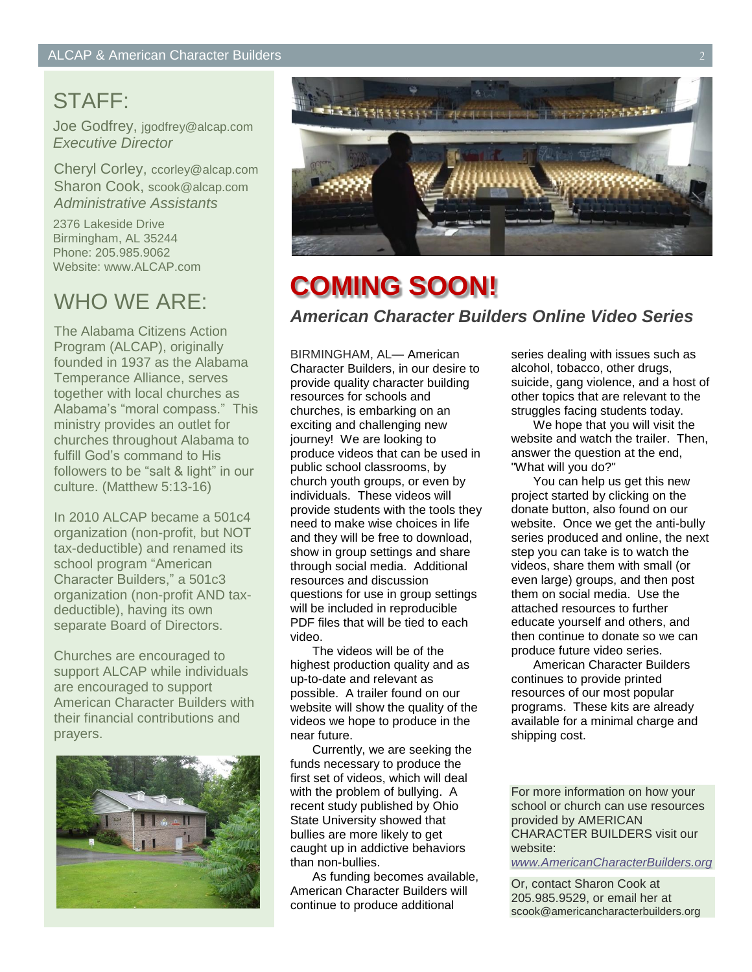## STAFF:

Joe Godfrey, jgodfrey@alcap.com *Executive Director*

Cheryl Corley, ccorley@alcap.com Sharon Cook, scook@alcap.com *Administrative Assistants*

2376 Lakeside Drive Birmingham, AL 35244 Phone: 205.985.9062 Website: www.ALCAP.com

## WHO WE ARE:

The Alabama Citizens Action Program (ALCAP), originally founded in 1937 as the Alabama Temperance Alliance, serves together with local churches as Alabama's "moral compass." This ministry provides an outlet for churches throughout Alabama to fulfill God's command to His followers to be "salt & light" in our culture. (Matthew 5:13-16)

In 2010 ALCAP became a 501c4 organization (non-profit, but NOT tax-deductible) and renamed its school program "American Character Builders," a 501c3 organization (non-profit AND taxdeductible), having its own separate Board of Directors.

Churches are encouraged to support ALCAP while individuals are encouraged to support American Character Builders with their financial contributions and prayers.





# **COMING SOON!** *American Character Builders Online Video Series*

BIRMINGHAM, AL— American Character Builders, in our desire to provide quality character building resources for schools and churches, is embarking on an exciting and challenging new journey! We are looking to produce videos that can be used in public school classrooms, by church youth groups, or even by individuals. These videos will provide students with the tools they need to make wise choices in life and they will be free to download, show in group settings and share through social media. Additional resources and discussion questions for use in group settings will be included in reproducible PDF files that will be tied to each video.

The videos will be of the highest production quality and as up-to-date and relevant as possible. A trailer found on our website will show the quality of the videos we hope to produce in the near future.

Currently, we are seeking the funds necessary to produce the first set of videos, which will deal with the problem of bullying. A recent study published by Ohio State University showed that bullies are more likely to get caught up in addictive behaviors than non-bullies.

As funding becomes available, American Character Builders will continue to produce additional

series dealing with issues such as alcohol, tobacco, other drugs, suicide, gang violence, and a host of other topics that are relevant to the struggles facing students today.

We hope that you will visit the website and watch the trailer. Then, answer the question at the end, "What will you do?"

You can help us get this new project started by clicking on the donate button, also found on our website. Once we get the anti-bully series produced and online, the next step you can take is to watch the videos, share them with small (or even large) groups, and then post them on social media. Use the attached resources to further educate yourself and others, and then continue to donate so we can produce future video series.

American Character Builders continues to provide printed resources of our most popular programs. These kits are already available for a minimal charge and shipping cost.

For more information on how your school or church can use resources provided by AMERICAN CHARACTER BUILDERS visit our website:

*[www.AmericanCharacterBuilders.org](http://www.americancharacterbuilders.org/)*

Or, contact Sharon Cook at 205.985.9529, or email her at scook@americancharacterbuilders.org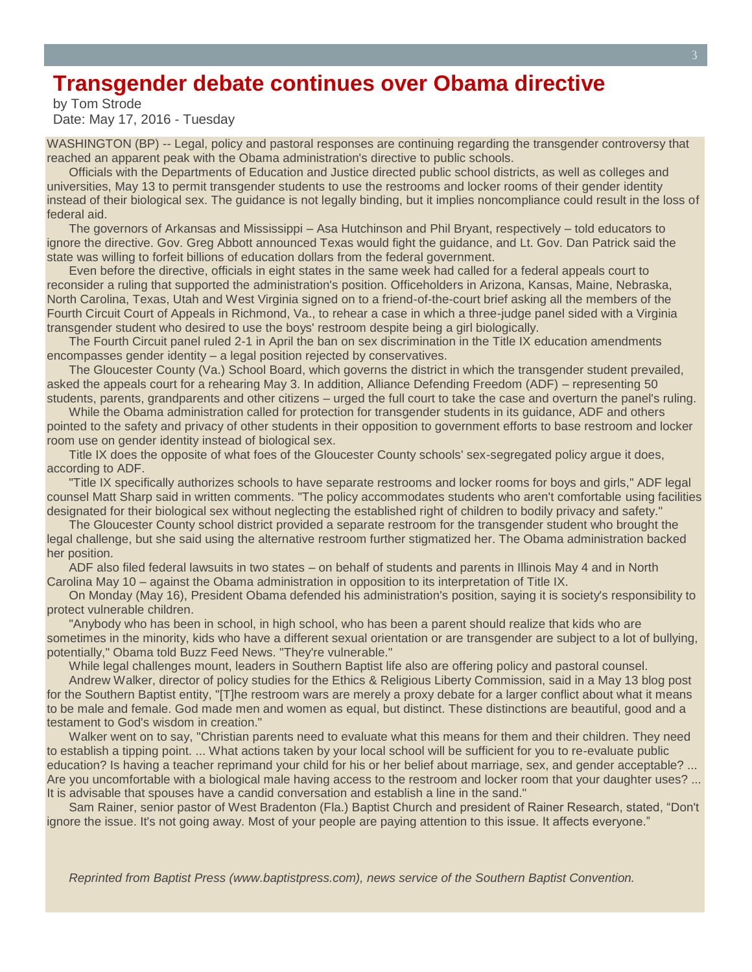### **Transgender debate continues over Obama directive**

by Tom Strode Date: May 17, 2016 - Tuesday

WASHINGTON (BP) -- Legal, policy and pastoral responses are continuing regarding the transgender controversy that reached an apparent peak with the Obama administration's directive to public schools.

Officials with the Departments of Education and Justice directed public school districts, as well as colleges and universities, May 13 to permit transgender students to use the restrooms and locker rooms of their gender identity instead of their biological sex. The guidance is not legally binding, but it implies noncompliance could result in the loss of federal aid.

The governors of Arkansas and Mississippi – Asa Hutchinson and Phil Bryant, respectively – told educators to ignore the directive. Gov. Greg Abbott announced Texas would fight the guidance, and Lt. Gov. Dan Patrick said the state was willing to forfeit billions of education dollars from the federal government.

Even before the directive, officials in eight states in the same week had called for a federal appeals court to reconsider a ruling that supported the administration's position. Officeholders in Arizona, Kansas, Maine, Nebraska, North Carolina, Texas, Utah and West Virginia signed on to a friend-of-the-court brief asking all the members of the Fourth Circuit Court of Appeals in Richmond, Va., to rehear a case in which a three-judge panel sided with a Virginia transgender student who desired to use the boys' restroom despite being a girl biologically.

The Fourth Circuit panel ruled 2-1 in April the ban on sex discrimination in the Title IX education amendments encompasses gender identity – a legal position rejected by conservatives.

The Gloucester County (Va.) School Board, which governs the district in which the transgender student prevailed, asked the appeals court for a rehearing May 3. In addition, Alliance Defending Freedom (ADF) – representing 50 students, parents, grandparents and other citizens – urged the full court to take the case and overturn the panel's ruling.

While the Obama administration called for protection for transgender students in its guidance, ADF and others pointed to the safety and privacy of other students in their opposition to government efforts to base restroom and locker room use on gender identity instead of biological sex.

Title IX does the opposite of what foes of the Gloucester County schools' sex-segregated policy argue it does, according to ADF.

"Title IX specifically authorizes schools to have separate restrooms and locker rooms for boys and girls," ADF legal counsel Matt Sharp said in written comments. "The policy accommodates students who aren't comfortable using facilities designated for their biological sex without neglecting the established right of children to bodily privacy and safety."

The Gloucester County school district provided a separate restroom for the transgender student who brought the legal challenge, but she said using the alternative restroom further stigmatized her. The Obama administration backed her position.

ADF also filed federal lawsuits in two states – on behalf of students and parents in Illinois May 4 and in North Carolina May 10 – against the Obama administration in opposition to its interpretation of Title IX.

On Monday (May 16), President Obama defended his administration's position, saying it is society's responsibility to protect vulnerable children.

"Anybody who has been in school, in high school, who has been a parent should realize that kids who are sometimes in the minority, kids who have a different sexual orientation or are transgender are subject to a lot of bullying, potentially," Obama told Buzz Feed News. "They're vulnerable."

While legal challenges mount, leaders in Southern Baptist life also are offering policy and pastoral counsel.

Andrew Walker, director of policy studies for the Ethics & Religious Liberty Commission, said in a May 13 blog post for the Southern Baptist entity, "[T]he restroom wars are merely a proxy debate for a larger conflict about what it means to be male and female. God made men and women as equal, but distinct. These distinctions are beautiful, good and a testament to God's wisdom in creation."

Walker went on to say, "Christian parents need to evaluate what this means for them and their children. They need to establish a tipping point. ... What actions taken by your local school will be sufficient for you to re-evaluate public education? Is having a teacher reprimand your child for his or her belief about marriage, sex, and gender acceptable? ... Are you uncomfortable with a biological male having access to the restroom and locker room that your daughter uses? ... It is advisable that spouses have a candid conversation and establish a line in the sand."

Sam Rainer, senior pastor of West Bradenton (Fla.) Baptist Church and president of Rainer Research, stated, "Don't ignore the issue. It's not going away. Most of your people are paying attention to this issue. It affects everyone."

*Reprinted from Baptist Press (www.baptistpress.com), news service of the Southern Baptist Convention.*